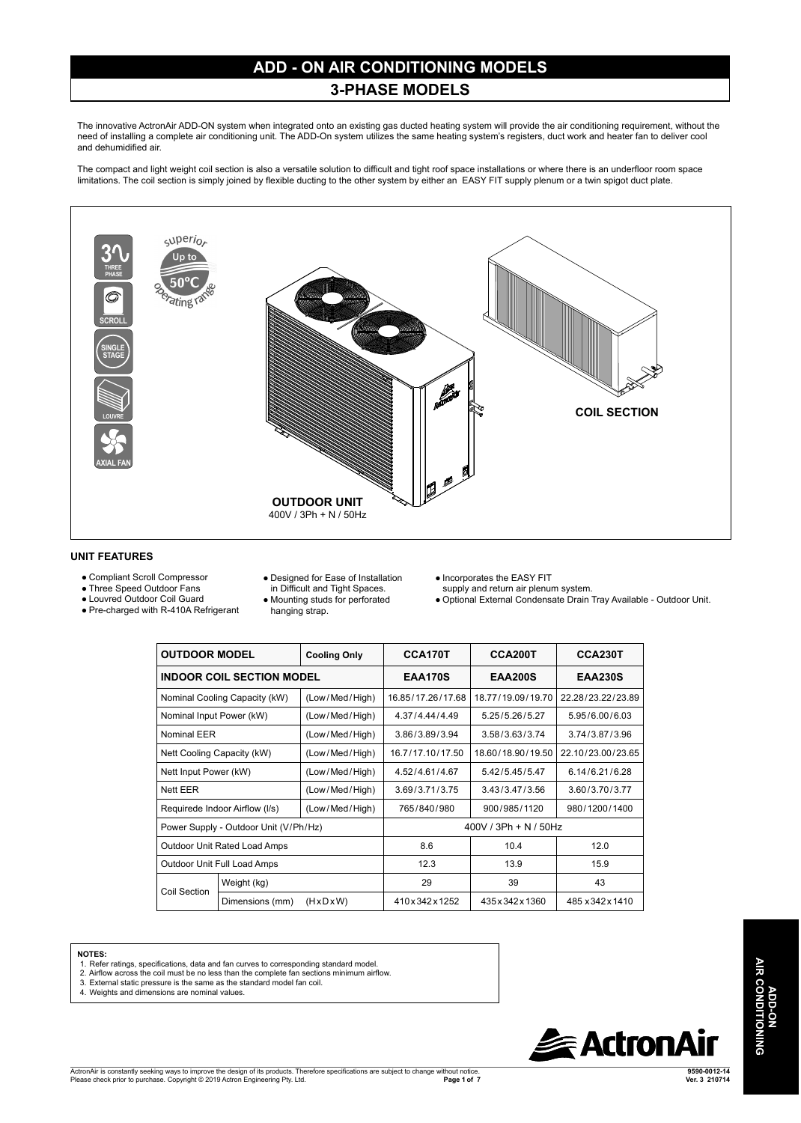# **ADD - ON AIR CONDITIONING MODELS**

## **3-PHASE MODELS**

The innovative ActronAir ADD-ON system when integrated onto an existing gas ducted heating system will provide the air conditioning requirement, without the need of installing a complete air conditioning unit. The ADD-On system utilizes the same heating system's registers, duct work and heater fan to deliver cool and dehumidified air.

The compact and light weight coil section is also a versatile solution to difficult and tight roof space installations or where there is an underfloor room space Initiations. The coil section is simply joined by flexible ducting to the other system by either an EASY FIT supply plenum or a twin spigot duct plate.



#### **UNIT FEATURES**

- Compliant Scroll Compressor
- Three Speed Outdoor Fans ● Louvred Outdoor Coil Guard
- 
- Pre-charged with R-410A Refrigerant
- Designed for Ease of Installation in Difficult and Tight Spaces.
- Mounting studs for perforated

hanging strap.

- Incorporates the EASY FIT supply and return air plenum system.
- Optional External Condensate Drain Tray Available Outdoor Unit.

| <b>OUTDOOR MODEL</b>                  |                 | <b>Cooling Only</b>     | CCA170T           | <b>CCA200T</b>    | CCA230T           |
|---------------------------------------|-----------------|-------------------------|-------------------|-------------------|-------------------|
| <b>INDOOR COIL SECTION MODEL</b>      |                 | <b>EAA170S</b>          | <b>EAA200S</b>    | <b>EAA230S</b>    |                   |
| Nominal Cooling Capacity (kW)         |                 | (Low/Med/High)          | 16.85/17.26/17.68 | 18.77/19.09/19.70 | 22.28/23.22/23.89 |
| Nominal Input Power (kW)              |                 | (Low/Med/High)          | 4 37/4 44/4 49    | 5 25/5 26/5 27    | 595/600/603       |
| Nominal EER                           |                 | (Low/Med/High)          | 3.86/3.89/3.94    | 3.58/3.63/3.74    | 3.74/3.87/3.96    |
| Nett Cooling Capacity (kW)            |                 | (Low/Med/High)          | 16.7/17.10/17.50  | 18.60/18.90/19.50 | 22 10/23 00/23 65 |
| Nett Input Power (kW)                 |                 | (Low/Med/High)          | 4.52/4.61/4.67    | 5.42/5.45/5.47    | 6.14/6.21/6.28    |
| Nett FFR                              |                 | (Low/Med/High)          | 3.69/3.71/3.75    | 3.43/3.47/3.56    | 3.60/3.70/3.77    |
| Requirede Indoor Airflow (I/s)        |                 | (Low/Med/High)          | 765/840/980       | 900/985/1120      | 980/1200/1400     |
| Power Supply - Outdoor Unit (V/Ph/Hz) |                 | $400V / 3Ph + N / 50Hz$ |                   |                   |                   |
| Outdoor Unit Rated Load Amps          |                 | 8.6                     | 10.4              | 12.0              |                   |
| Outdoor Unit Full Load Amps           |                 | 12.3                    | 13.9              | 15.9              |                   |
| Coil Section                          | Weight (kg)     |                         | 29                | 39                | 43                |
|                                       | Dimensions (mm) | $(H \times D \times W)$ | 410 x 342 x 1252  | 435 x 342 x 1360  | 485 x 342 x 1410  |

#### **NOTES:**

- 
- 1. Refer ratings, specifications, data and fan curves to corresponding standard model. 2. Airflow across the coil must be no less than the complete fan sections minimum airflow.
- 3. External static pressure is the same as the standard model fan coil. 4. Weights and dimensions are nominal values.
- 



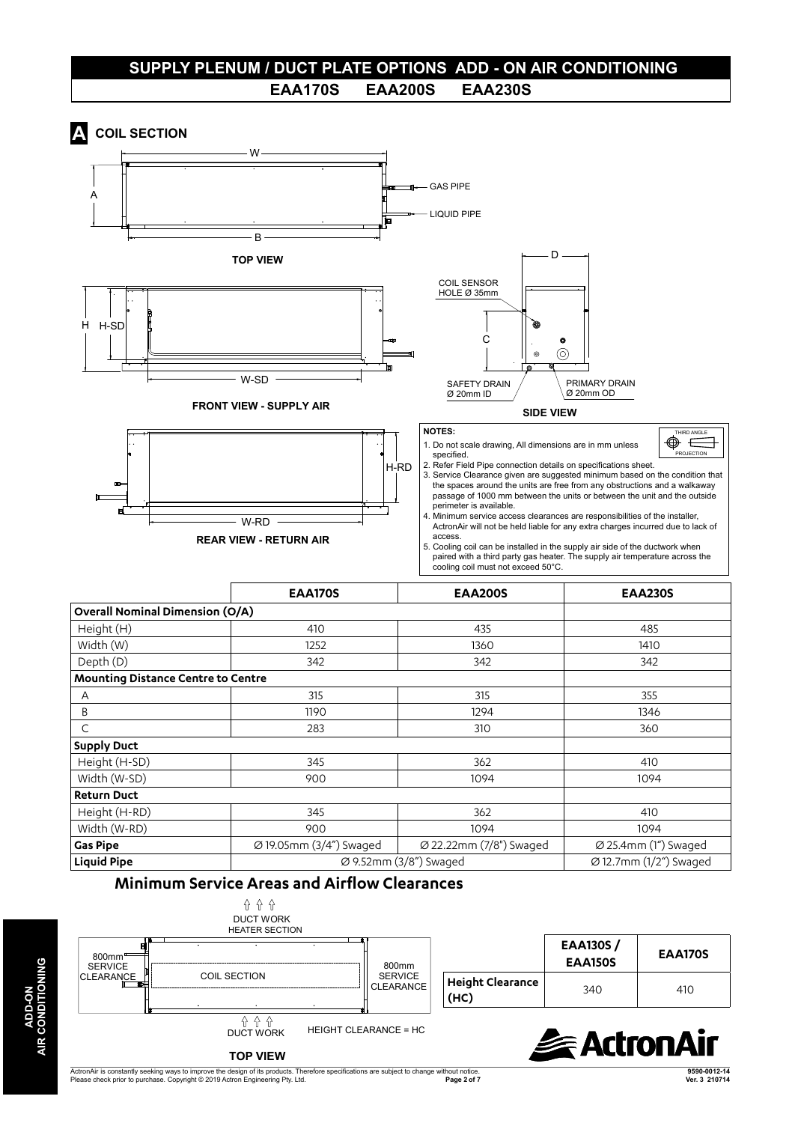# **SUPPLY PLENUM / DUCT PLATE OPTIONS ADD - ON AIR CONDITIONING EAA170S EAA200S EAA230S**

# **A COIL SECTION**



#### **Minimum Service Areas and Airflow Clearances**



ActronAir is constantly seeking ways to improve the design of its products. Therefore specifications are subject to change without notice. Please check prior to purchase. Copyright © 2019 Actron Engineering Pty. Ltd. **Page 2 of 7**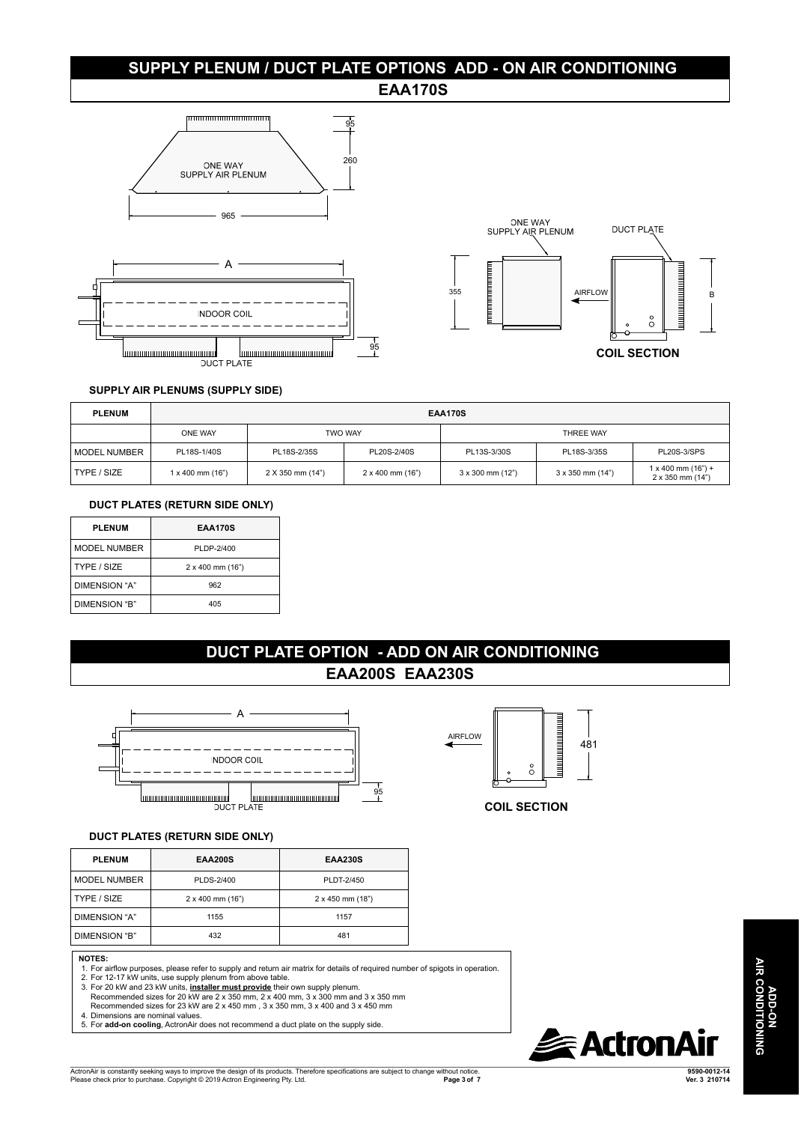# **SUPPLY PLENUM / DUCT PLATE OPTIONS ADD - ON AIR CONDITIONING**

## **EAA170S**







#### **SUPPLY AIR PLENUMS (SUPPLY SIDE)**

| <b>PLENUM</b>  | <b>EAA170S</b>   |                  |                      |                           |                           |                                                        |  |
|----------------|------------------|------------------|----------------------|---------------------------|---------------------------|--------------------------------------------------------|--|
|                | ONE WAY          | <b>TWO WAY</b>   |                      | THREE WAY                 |                           |                                                        |  |
| l MODEL NUMBER | PL18S-1/40S      | PL18S-2/35S      | PL20S-2/40S          | PL13S-3/30S               | PL18S-3/35S               | <b>PL20S-3/SPS</b>                                     |  |
| TYPE / SIZE    | 1 x 400 mm (16") | 2 X 350 mm (14") | $2 x 400$ mm $(16")$ | $3 \times 300$ mm $(12")$ | $3 \times 350$ mm $(14")$ | $1 \times 400$ mm $(16") +$<br>$2 \times 350$ mm (14") |  |

#### **DUCT PLATES (RETURN SIDE ONLY)**

| <b>PLENUM</b>       | <b>EAA170S</b>            |  |  |
|---------------------|---------------------------|--|--|
| <b>MODEL NUMBER</b> | PLDP-2/400                |  |  |
| TYPE / SIZE         | $2 \times 400$ mm $(16")$ |  |  |
| DIMENSION "A"       | 962                       |  |  |
| DIMENSION "B"       | 405                       |  |  |

## **DUCT PLATE OPTION - ADD ON AIR CONDITIONING EAA200S EAA230S**



#### **DUCT PLATES (RETURN SIDE ONLY)**

| <b>PLENUM</b>                                      | <b>EAA200S</b>                                                                                                                                                                                                                                                                                                                                                                                                    | <b>EAA230S</b>                                                                                                                |  |
|----------------------------------------------------|-------------------------------------------------------------------------------------------------------------------------------------------------------------------------------------------------------------------------------------------------------------------------------------------------------------------------------------------------------------------------------------------------------------------|-------------------------------------------------------------------------------------------------------------------------------|--|
| <b>MODEL NUMBER</b>                                | PLDS-2/400                                                                                                                                                                                                                                                                                                                                                                                                        | PLDT-2/450                                                                                                                    |  |
| TYPE / SIZE                                        | $2 \times 400$ mm $(16")$                                                                                                                                                                                                                                                                                                                                                                                         | 2 x 450 mm (18")                                                                                                              |  |
| DIMENSION "A"                                      | 1155                                                                                                                                                                                                                                                                                                                                                                                                              | 1157                                                                                                                          |  |
| DIMENSION "B"                                      | 432                                                                                                                                                                                                                                                                                                                                                                                                               | 481                                                                                                                           |  |
| <b>NOTES:</b><br>4. Dimensions are nominal values. | 2. For 12-17 kW units, use supply plenum from above table.<br>3. For 20 kW and 23 kW units, <i>installer must provide</i> their own supply plenum.<br>Recommended sizes for 20 kW are 2 x 350 mm, 2 x 400 mm, 3 x 300 mm and 3 x 350 mm<br>Recommended sizes for 23 kW are 2 x 450 mm, 3 x 350 mm, 3 x 400 and 3 x 450 mm<br>5. For add-on cooling, ActronAir does not recommend a duct plate on the supply side. | 1. For airflow purposes, please refer to supply and return air matrix for details of required number of spigots in operation. |  |



#### **COIL SECTION**

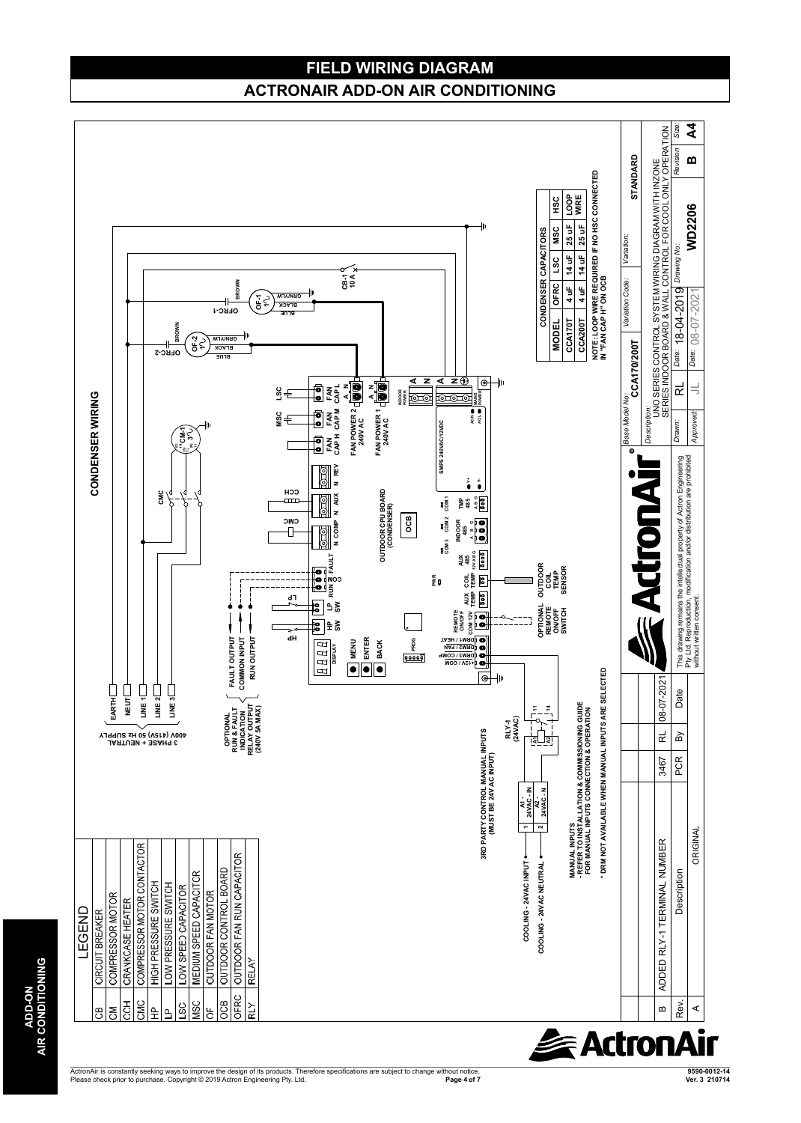# **FIELD WIRING DIAGRAM ACTRONAIR ADD-ON AIR CONDITIONING**



ActronAir is constantly seeking ways to improve the design of its products. Therefore specifications are subject to change without notice. **Products are subject to change of 7** Please check prior to purchase. Copyright ©